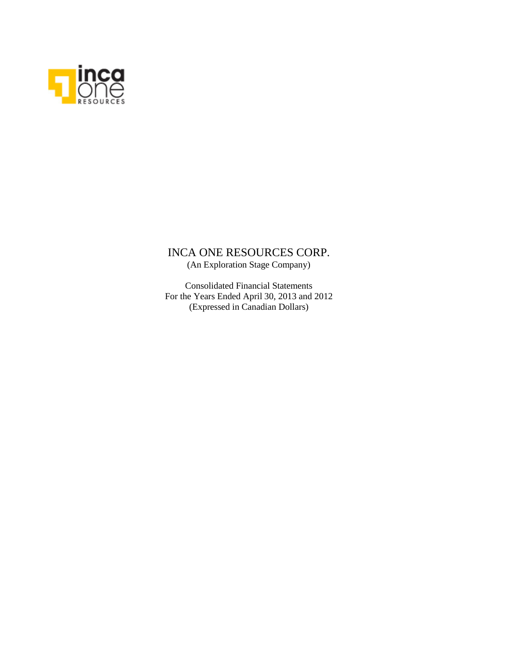

# INCA ONE RESOURCES CORP. (An Exploration Stage Company)

Consolidated Financial Statements For the Years Ended April 30, 2013 and 2012 (Expressed in Canadian Dollars)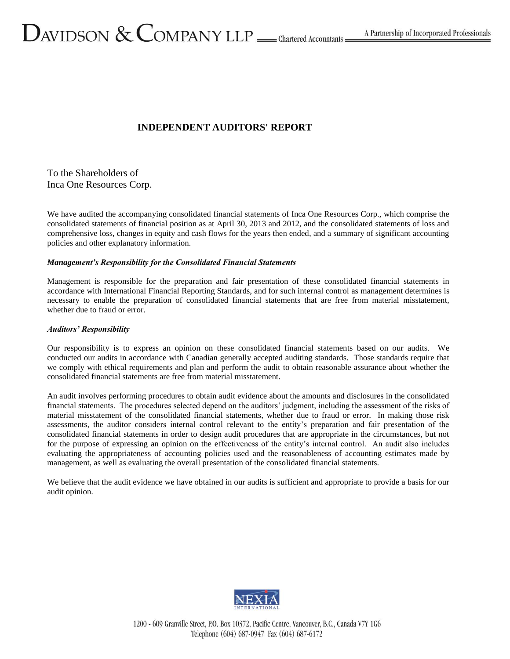# **INDEPENDENT AUDITORS' REPORT**

To the Shareholders of Inca One Resources Corp.

We have audited the accompanying consolidated financial statements of Inca One Resources Corp., which comprise the consolidated statements of financial position as at April 30, 2013 and 2012, and the consolidated statements of loss and comprehensive loss, changes in equity and cash flows for the years then ended, and a summary of significant accounting policies and other explanatory information.

#### *Management's Responsibility for the Consolidated Financial Statements*

Management is responsible for the preparation and fair presentation of these consolidated financial statements in accordance with International Financial Reporting Standards, and for such internal control as management determines is necessary to enable the preparation of consolidated financial statements that are free from material misstatement, whether due to fraud or error.

#### *Auditors' Responsibility*

Our responsibility is to express an opinion on these consolidated financial statements based on our audits. We conducted our audits in accordance with Canadian generally accepted auditing standards. Those standards require that we comply with ethical requirements and plan and perform the audit to obtain reasonable assurance about whether the consolidated financial statements are free from material misstatement.

An audit involves performing procedures to obtain audit evidence about the amounts and disclosures in the consolidated financial statements. The procedures selected depend on the auditors' judgment, including the assessment of the risks of material misstatement of the consolidated financial statements, whether due to fraud or error. In making those risk assessments, the auditor considers internal control relevant to the entity's preparation and fair presentation of the consolidated financial statements in order to design audit procedures that are appropriate in the circumstances, but not for the purpose of expressing an opinion on the effectiveness of the entity's internal control. An audit also includes evaluating the appropriateness of accounting policies used and the reasonableness of accounting estimates made by management, as well as evaluating the overall presentation of the consolidated financial statements.

We believe that the audit evidence we have obtained in our audits is sufficient and appropriate to provide a basis for our audit opinion.

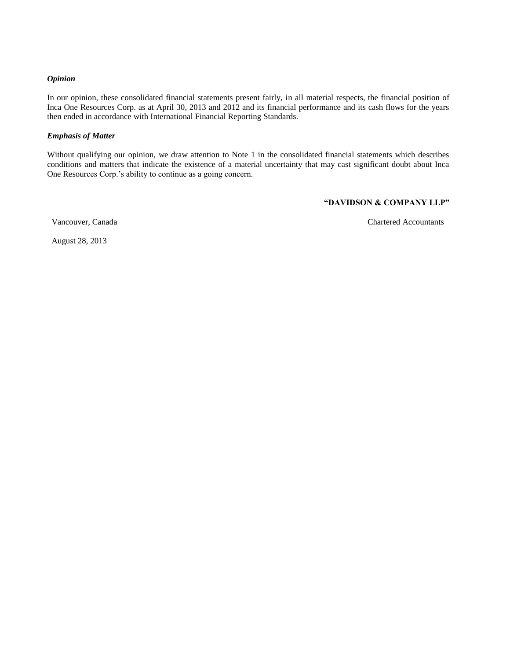#### *Opinion*

In our opinion, these consolidated financial statements present fairly, in all material respects, the financial position of Inca One Resources Corp. as at April 30, 2013 and 2012 and its financial performance and its cash flows for the years then ended in accordance with International Financial Reporting Standards.

#### *Emphasis of Matter*

Without qualifying our opinion, we draw attention to Note 1 in the consolidated financial statements which describes conditions and matters that indicate the existence of a material uncertainty that may cast significant doubt about Inca One Resources Corp.'s ability to continue as a going concern.

### **"DAVIDSON & COMPANY LLP"**

Vancouver, Canada Chartered Accountants

August 28, 2013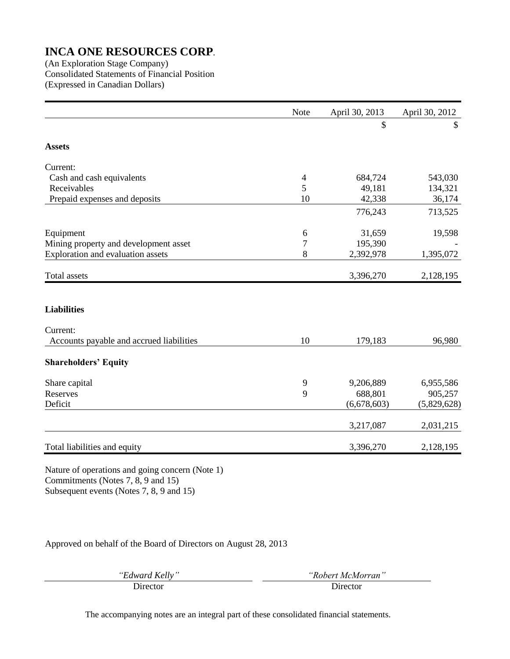(An Exploration Stage Company) Consolidated Statements of Financial Position (Expressed in Canadian Dollars)

| Note | April 30, 2013 | April 30, 2012 |
|------|----------------|----------------|
|      | \$             | \$             |
|      |                |                |
|      |                |                |
| 4    | 684,724        | 543,030        |
| 5    | 49,181         | 134,321        |
| 10   | 42,338         | 36,174         |
|      | 776,243        | 713,525        |
| 6    | 31,659         | 19,598         |
| 7    | 195,390        |                |
| 8    | 2,392,978      | 1,395,072      |
|      | 3,396,270      | 2,128,195      |
|      |                |                |
|      |                |                |
| 10   | 179,183        | 96,980         |
|      |                |                |
|      |                | 6,955,586      |
| 9    | 688,801        | 905,257        |
|      | (6,678,603)    | (5,829,628)    |
|      | 3,217,087      | 2,031,215      |
|      | 3,396,270      | 2,128,195      |
|      | 9              | 9,206,889      |

Nature of operations and going concern (Note 1) Commitments (Notes 7, 8, 9 and 15) Subsequent events (Notes 7, 8, 9 and 15)

Approved on behalf of the Board of Directors on August 28, 2013

*"Edward Kelly" "Robert McMorran"* Director Director Director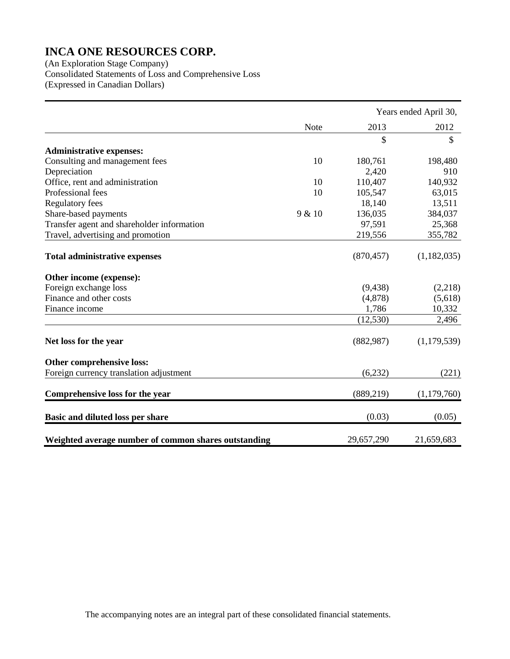(An Exploration Stage Company) Consolidated Statements of Loss and Comprehensive Loss (Expressed in Canadian Dollars)

|                                                      |        |            | Years ended April 30, |
|------------------------------------------------------|--------|------------|-----------------------|
|                                                      | Note   | 2013       | 2012                  |
|                                                      |        | \$         | \$                    |
| <b>Administrative expenses:</b>                      |        |            |                       |
| Consulting and management fees                       | 10     | 180,761    | 198,480               |
| Depreciation                                         |        | 2,420      | 910                   |
| Office, rent and administration                      | 10     | 110,407    | 140,932               |
| Professional fees                                    | 10     | 105,547    | 63,015                |
| <b>Regulatory fees</b>                               |        | 18,140     | 13,511                |
| Share-based payments                                 | 9 & 10 | 136,035    | 384,037               |
| Transfer agent and shareholder information           |        | 97,591     | 25,368                |
| Travel, advertising and promotion                    |        | 219,556    | 355,782               |
| <b>Total administrative expenses</b>                 |        | (870, 457) | (1,182,035)           |
| Other income (expense):                              |        |            |                       |
| Foreign exchange loss                                |        | (9, 438)   | (2,218)               |
| Finance and other costs                              |        | (4,878)    | (5,618)               |
| Finance income                                       |        | 1,786      | 10,332                |
|                                                      |        | (12, 530)  | 2,496                 |
| Net loss for the year                                |        | (882,987)  | (1,179,539)           |
| Other comprehensive loss:                            |        |            |                       |
| Foreign currency translation adjustment              |        | (6,232)    | (221)                 |
| Comprehensive loss for the year                      |        | (889, 219) | (1,179,760)           |
| Basic and diluted loss per share                     |        | (0.03)     | (0.05)                |
| Weighted average number of common shares outstanding |        | 29,657,290 | 21,659,683            |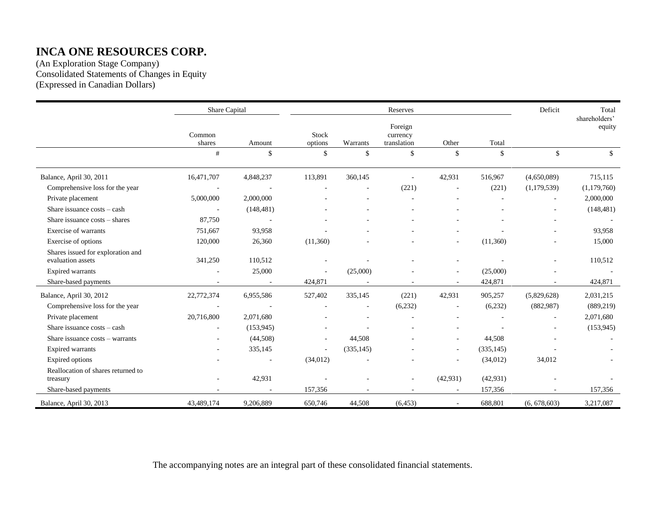(An Exploration Stage Company) Consolidated Statements of Changes in Equity (Expressed in Canadian Dollars)

|                                                        | Share Capital            |            |                  |            | Reserves                           |                          |               | Deficit                  | Total                   |
|--------------------------------------------------------|--------------------------|------------|------------------|------------|------------------------------------|--------------------------|---------------|--------------------------|-------------------------|
|                                                        | Common<br>shares         | Amount     | Stock<br>options | Warrants   | Foreign<br>currency<br>translation | Other                    | Total         |                          | shareholders'<br>equity |
|                                                        | #                        | \$         | $\mathbb{S}$     | \$         | \$                                 | \$                       | $\mathcal{S}$ | $\mathbf{\hat{S}}$       | $\mathbf{s}$            |
| Balance, April 30, 2011                                | 16,471,707               | 4,848,237  | 113,891          | 360,145    |                                    | 42,931                   | 516,967       | (4,650,089)              | 715,115                 |
| Comprehensive loss for the year                        | ÷.                       |            |                  |            | (221)                              |                          | (221)         | (1,179,539)              | (1,179,760)             |
| Private placement                                      | 5,000,000                | 2,000,000  |                  |            |                                    |                          |               | $\overline{a}$           | 2,000,000               |
| Share issuance costs – cash                            | $\sim$                   | (148, 481) |                  |            |                                    |                          |               | $\sim$                   | (148, 481)              |
| Share issuance costs – shares                          | 87,750                   |            |                  |            |                                    |                          |               |                          |                         |
| Exercise of warrants                                   | 751,667                  | 93,958     |                  |            |                                    |                          |               |                          | 93,958                  |
| Exercise of options                                    | 120,000                  | 26,360     | (11,360)         |            |                                    |                          | (11,360)      |                          | 15,000                  |
| Shares issued for exploration and<br>evaluation assets | 341,250                  | 110,512    |                  |            |                                    |                          |               | $\sim$                   | 110,512                 |
| <b>Expired warrants</b>                                | $\overline{a}$           | 25,000     | $\blacksquare$   | (25,000)   |                                    | $\overline{\phantom{a}}$ | (25,000)      |                          |                         |
| Share-based payments                                   | ÷.                       |            | 424,871          |            |                                    |                          | 424,871       |                          | 424,871                 |
| Balance, April 30, 2012                                | 22,772,374               | 6,955,586  | 527,402          | 335,145    | (221)                              | 42,931                   | 905,257       | (5,829,628)              | 2,031,215               |
| Comprehensive loss for the year                        |                          |            |                  | $\sim$     | (6,232)                            |                          | (6,232)       | (882,987)                | (889, 219)              |
| Private placement                                      | 20,716,800               | 2,071,680  |                  |            |                                    |                          |               | $\overline{\phantom{a}}$ | 2,071,680               |
| Share issuance costs – cash                            | $\sim$                   | (153, 945) |                  |            |                                    |                          |               |                          | (153, 945)              |
| Share issuance costs - warrants                        |                          | (44,508)   | $\sim$           | 44,508     |                                    |                          | 44,508        |                          |                         |
| <b>Expired warrants</b>                                | $\overline{\phantom{a}}$ | 335,145    | $\sim$           | (335, 145) |                                    | $\sim$                   | (335, 145)    |                          |                         |
| Expired options                                        |                          |            | (34, 012)        |            |                                    |                          | (34,012)      | 34,012                   |                         |
| Reallocation of shares returned to<br>treasury         | ÷                        | 42,931     |                  |            |                                    | (42, 931)                | (42, 931)     |                          |                         |
| Share-based payments                                   |                          |            | 157,356          |            |                                    | $\overline{\phantom{a}}$ | 157,356       |                          | 157,356                 |
| Balance, April 30, 2013                                | 43,489,174               | 9,206,889  | 650,746          | 44,508     | (6, 453)                           | $\blacksquare$           | 688,801       | (6, 678, 603)            | 3,217,087               |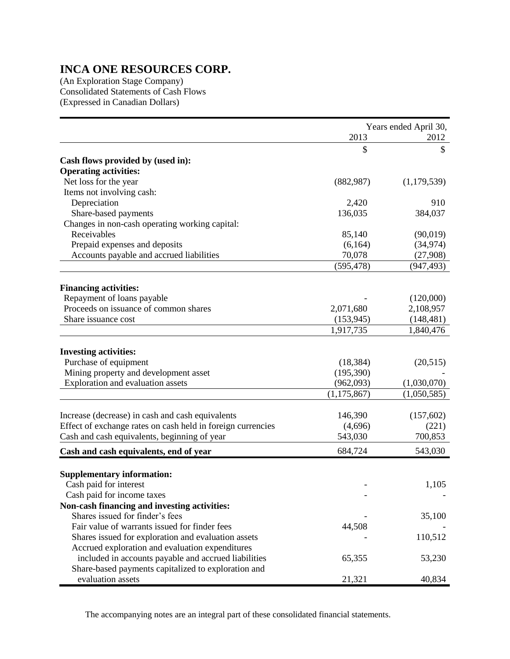(An Exploration Stage Company) Consolidated Statements of Cash Flows (Expressed in Canadian Dollars)

|                                                                                                         | Years ended April 30, |             |  |
|---------------------------------------------------------------------------------------------------------|-----------------------|-------------|--|
|                                                                                                         | 2013                  | 2012        |  |
|                                                                                                         | \$                    | \$          |  |
| Cash flows provided by (used in):                                                                       |                       |             |  |
| <b>Operating activities:</b>                                                                            |                       |             |  |
| Net loss for the year                                                                                   | (882,987)             | (1,179,539) |  |
| Items not involving cash:                                                                               |                       |             |  |
| Depreciation                                                                                            | 2,420                 | 910         |  |
| Share-based payments                                                                                    | 136,035               | 384,037     |  |
| Changes in non-cash operating working capital:                                                          |                       |             |  |
| Receivables                                                                                             | 85,140                | (90,019)    |  |
| Prepaid expenses and deposits                                                                           | (6,164)               | (34, 974)   |  |
| Accounts payable and accrued liabilities                                                                | 70,078                | (27,908)    |  |
|                                                                                                         | (595, 478)            | (947, 493)  |  |
|                                                                                                         |                       |             |  |
| <b>Financing activities:</b>                                                                            |                       |             |  |
| Repayment of loans payable                                                                              |                       | (120,000)   |  |
| Proceeds on issuance of common shares                                                                   | 2,071,680             | 2,108,957   |  |
| Share issuance cost                                                                                     | (153, 945)            | (148, 481)  |  |
|                                                                                                         | 1,917,735             | 1,840,476   |  |
|                                                                                                         |                       |             |  |
| <b>Investing activities:</b>                                                                            |                       |             |  |
| Purchase of equipment                                                                                   | (18, 384)             | (20,515)    |  |
| Mining property and development asset                                                                   | (195,390)             |             |  |
| Exploration and evaluation assets                                                                       | (962,093)             | (1,030,070) |  |
|                                                                                                         | (1,175,867)           | (1,050,585) |  |
| Increase (decrease) in cash and cash equivalents                                                        | 146,390               | (157,602)   |  |
| Effect of exchange rates on cash held in foreign currencies                                             | (4,696)               | (221)       |  |
| Cash and cash equivalents, beginning of year                                                            | 543,030               | 700,853     |  |
|                                                                                                         |                       |             |  |
| Cash and cash equivalents, end of year                                                                  | 684,724               | 543,030     |  |
|                                                                                                         |                       |             |  |
| <b>Supplementary information:</b><br>Cash paid for interest                                             |                       | 1,105       |  |
| Cash paid for income taxes                                                                              |                       |             |  |
| Non-cash financing and investing activities:                                                            |                       |             |  |
| Shares issued for finder's fees                                                                         |                       | 35,100      |  |
| Fair value of warrants issued for finder fees                                                           | 44,508                |             |  |
| Shares issued for exploration and evaluation assets                                                     |                       | 110,512     |  |
|                                                                                                         |                       |             |  |
| Accrued exploration and evaluation expenditures<br>included in accounts payable and accrued liabilities | 65,355                |             |  |
| Share-based payments capitalized to exploration and                                                     |                       | 53,230      |  |
| evaluation assets                                                                                       | 21,321                | 40,834      |  |
|                                                                                                         |                       |             |  |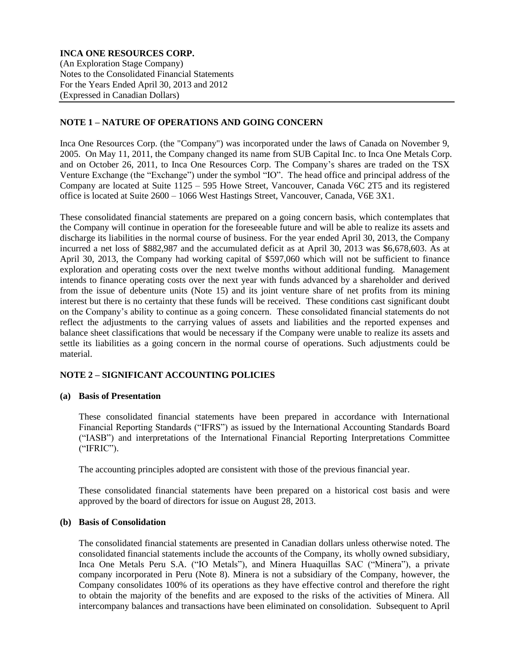**INCA ONE RESOURCES CORP.** (An Exploration Stage Company) Notes to the Consolidated Financial Statements For the Years Ended April 30, 2013 and 2012 (Expressed in Canadian Dollars)

# **NOTE 1 – NATURE OF OPERATIONS AND GOING CONCERN**

Inca One Resources Corp. (the "Company") was incorporated under the laws of Canada on November 9, 2005. On May 11, 2011, the Company changed its name from SUB Capital Inc. to Inca One Metals Corp. and on October 26, 2011, to Inca One Resources Corp. The Company's shares are traded on the TSX Venture Exchange (the "Exchange") under the symbol "IO". The head office and principal address of the Company are located at Suite 1125 – 595 Howe Street, Vancouver, Canada V6C 2T5 and its registered office is located at Suite 2600 – 1066 West Hastings Street, Vancouver, Canada, V6E 3X1.

These consolidated financial statements are prepared on a going concern basis, which contemplates that the Company will continue in operation for the foreseeable future and will be able to realize its assets and discharge its liabilities in the normal course of business. For the year ended April 30, 2013, the Company incurred a net loss of \$882,987 and the accumulated deficit as at April 30, 2013 was \$6,678,603. As at April 30, 2013, the Company had working capital of \$597,060 which will not be sufficient to finance exploration and operating costs over the next twelve months without additional funding. Management intends to finance operating costs over the next year with funds advanced by a shareholder and derived from the issue of debenture units (Note 15) and its joint venture share of net profits from its mining interest but there is no certainty that these funds will be received. These conditions cast significant doubt on the Company's ability to continue as a going concern. These consolidated financial statements do not reflect the adjustments to the carrying values of assets and liabilities and the reported expenses and balance sheet classifications that would be necessary if the Company were unable to realize its assets and settle its liabilities as a going concern in the normal course of operations. Such adjustments could be material.

# **NOTE 2 – SIGNIFICANT ACCOUNTING POLICIES**

### **(a) Basis of Presentation**

These consolidated financial statements have been prepared in accordance with International Financial Reporting Standards ("IFRS") as issued by the International Accounting Standards Board ("IASB") and interpretations of the International Financial Reporting Interpretations Committee ("IFRIC").

The accounting principles adopted are consistent with those of the previous financial year.

These consolidated financial statements have been prepared on a historical cost basis and were approved by the board of directors for issue on August 28, 2013.

### **(b) Basis of Consolidation**

The consolidated financial statements are presented in Canadian dollars unless otherwise noted. The consolidated financial statements include the accounts of the Company, its wholly owned subsidiary, Inca One Metals Peru S.A. ("IO Metals"), and Minera Huaquillas SAC ("Minera"), a private company incorporated in Peru (Note 8). Minera is not a subsidiary of the Company, however, the Company consolidates 100% of its operations as they have effective control and therefore the right to obtain the majority of the benefits and are exposed to the risks of the activities of Minera. All intercompany balances and transactions have been eliminated on consolidation. Subsequent to April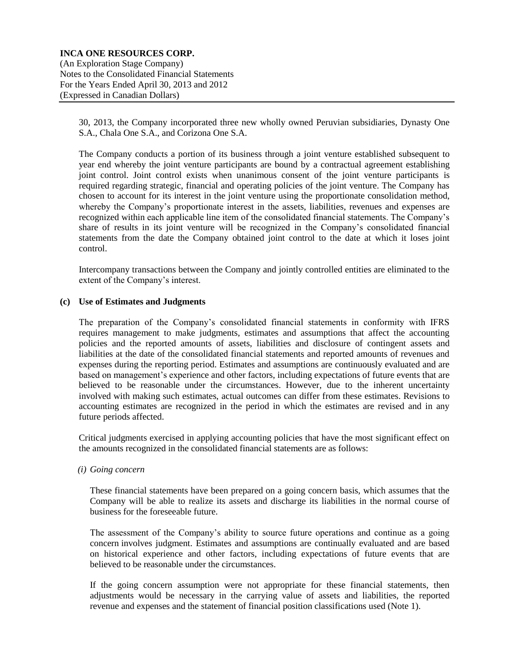(An Exploration Stage Company) Notes to the Consolidated Financial Statements For the Years Ended April 30, 2013 and 2012 (Expressed in Canadian Dollars)

> 30, 2013, the Company incorporated three new wholly owned Peruvian subsidiaries, Dynasty One S.A., Chala One S.A., and Corizona One S.A.

> The Company conducts a portion of its business through a joint venture established subsequent to year end whereby the joint venture participants are bound by a contractual agreement establishing joint control. Joint control exists when unanimous consent of the joint venture participants is required regarding strategic, financial and operating policies of the joint venture. The Company has chosen to account for its interest in the joint venture using the proportionate consolidation method, whereby the Company's proportionate interest in the assets, liabilities, revenues and expenses are recognized within each applicable line item of the consolidated financial statements. The Company's share of results in its joint venture will be recognized in the Company's consolidated financial statements from the date the Company obtained joint control to the date at which it loses joint control.

> Intercompany transactions between the Company and jointly controlled entities are eliminated to the extent of the Company's interest.

### **(c) Use of Estimates and Judgments**

The preparation of the Company's consolidated financial statements in conformity with IFRS requires management to make judgments, estimates and assumptions that affect the accounting policies and the reported amounts of assets, liabilities and disclosure of contingent assets and liabilities at the date of the consolidated financial statements and reported amounts of revenues and expenses during the reporting period. Estimates and assumptions are continuously evaluated and are based on management's experience and other factors, including expectations of future events that are believed to be reasonable under the circumstances. However, due to the inherent uncertainty involved with making such estimates, actual outcomes can differ from these estimates. Revisions to accounting estimates are recognized in the period in which the estimates are revised and in any future periods affected.

Critical judgments exercised in applying accounting policies that have the most significant effect on the amounts recognized in the consolidated financial statements are as follows:

*(i) Going concern*

These financial statements have been prepared on a going concern basis, which assumes that the Company will be able to realize its assets and discharge its liabilities in the normal course of business for the foreseeable future.

The assessment of the Company's ability to source future operations and continue as a going concern involves judgment. Estimates and assumptions are continually evaluated and are based on historical experience and other factors, including expectations of future events that are believed to be reasonable under the circumstances.

If the going concern assumption were not appropriate for these financial statements, then adjustments would be necessary in the carrying value of assets and liabilities, the reported revenue and expenses and the statement of financial position classifications used (Note 1).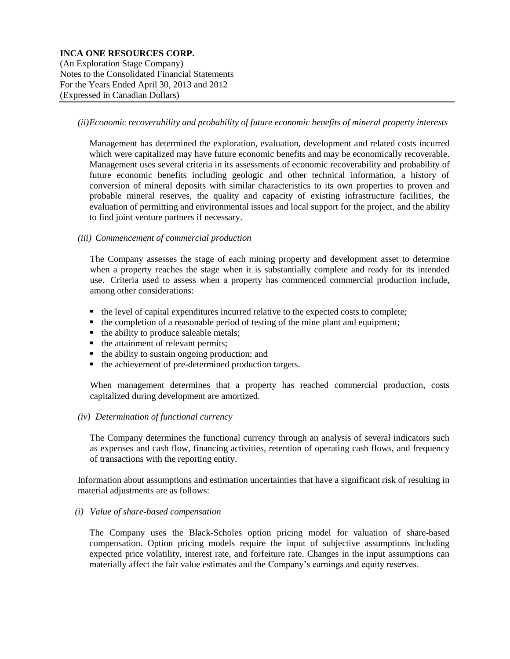(An Exploration Stage Company) Notes to the Consolidated Financial Statements For the Years Ended April 30, 2013 and 2012 (Expressed in Canadian Dollars)

### *(ii)Economic recoverability and probability of future economic benefits of mineral property interests*

Management has determined the exploration, evaluation, development and related costs incurred which were capitalized may have future economic benefits and may be economically recoverable. Management uses several criteria in its assessments of economic recoverability and probability of future economic benefits including geologic and other technical information, a history of conversion of mineral deposits with similar characteristics to its own properties to proven and probable mineral reserves, the quality and capacity of existing infrastructure facilities, the evaluation of permitting and environmental issues and local support for the project, and the ability to find joint venture partners if necessary.

### *(iii) Commencement of commercial production*

The Company assesses the stage of each mining property and development asset to determine when a property reaches the stage when it is substantially complete and ready for its intended use. Criteria used to assess when a property has commenced commercial production include, among other considerations:

- the level of capital expenditures incurred relative to the expected costs to complete;
- $\blacksquare$  the completion of a reasonable period of testing of the mine plant and equipment;
- $\blacksquare$  the ability to produce saleable metals;
- $\blacksquare$  the attainment of relevant permits;
- the ability to sustain ongoing production; and
- the achievement of pre-determined production targets.

When management determines that a property has reached commercial production, costs capitalized during development are amortized.

### *(iv) Determination of functional currency*

The Company determines the functional currency through an analysis of several indicators such as expenses and cash flow, financing activities, retention of operating cash flows, and frequency of transactions with the reporting entity.

Information about assumptions and estimation uncertainties that have a significant risk of resulting in material adjustments are as follows:

### *(i) Value of share-based compensation*

The Company uses the Black-Scholes option pricing model for valuation of share-based compensation. Option pricing models require the input of subjective assumptions including expected price volatility, interest rate, and forfeiture rate. Changes in the input assumptions can materially affect the fair value estimates and the Company's earnings and equity reserves.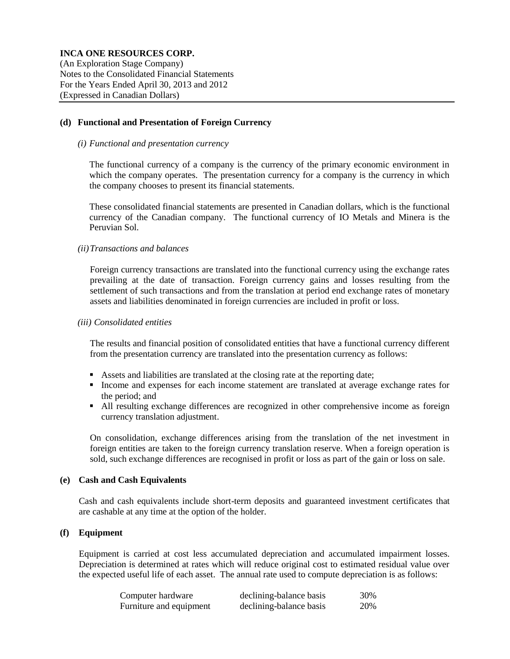(An Exploration Stage Company) Notes to the Consolidated Financial Statements For the Years Ended April 30, 2013 and 2012 (Expressed in Canadian Dollars)

### **(d) Functional and Presentation of Foreign Currency**

### *(i) Functional and presentation currency*

The functional currency of a company is the currency of the primary economic environment in which the company operates. The presentation currency for a company is the currency in which the company chooses to present its financial statements.

These consolidated financial statements are presented in Canadian dollars, which is the functional currency of the Canadian company. The functional currency of IO Metals and Minera is the Peruvian Sol.

### *(ii)Transactions and balances*

Foreign currency transactions are translated into the functional currency using the exchange rates prevailing at the date of transaction. Foreign currency gains and losses resulting from the settlement of such transactions and from the translation at period end exchange rates of monetary assets and liabilities denominated in foreign currencies are included in profit or loss.

### *(iii) Consolidated entities*

The results and financial position of consolidated entities that have a functional currency different from the presentation currency are translated into the presentation currency as follows:

- Assets and liabilities are translated at the closing rate at the reporting date;
- Income and expenses for each income statement are translated at average exchange rates for the period; and
- All resulting exchange differences are recognized in other comprehensive income as foreign currency translation adjustment.

On consolidation, exchange differences arising from the translation of the net investment in foreign entities are taken to the foreign currency translation reserve. When a foreign operation is sold, such exchange differences are recognised in profit or loss as part of the gain or loss on sale.

# **(e) Cash and Cash Equivalents**

Cash and cash equivalents include short-term deposits and guaranteed investment certificates that are cashable at any time at the option of the holder.

# **(f) Equipment**

Equipment is carried at cost less accumulated depreciation and accumulated impairment losses. Depreciation is determined at rates which will reduce original cost to estimated residual value over the expected useful life of each asset. The annual rate used to compute depreciation is as follows:

| Computer hardware       | declining-balance basis | 30% |
|-------------------------|-------------------------|-----|
| Furniture and equipment | declining-balance basis | 20% |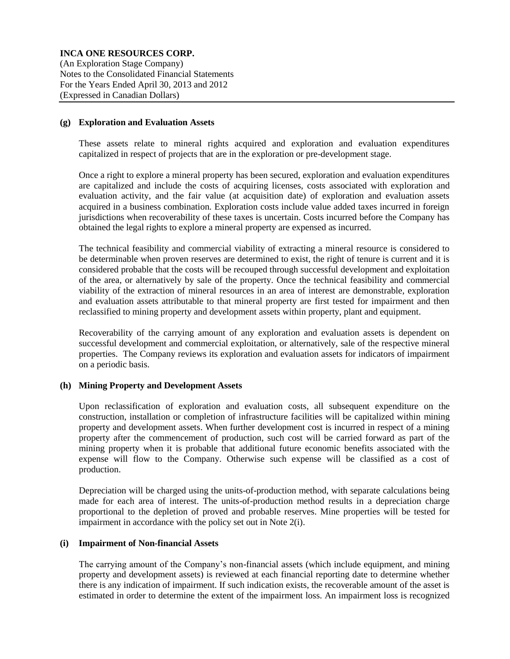(An Exploration Stage Company) Notes to the Consolidated Financial Statements For the Years Ended April 30, 2013 and 2012 (Expressed in Canadian Dollars)

### **(g) Exploration and Evaluation Assets**

These assets relate to mineral rights acquired and exploration and evaluation expenditures capitalized in respect of projects that are in the exploration or pre-development stage.

Once a right to explore a mineral property has been secured, exploration and evaluation expenditures are capitalized and include the costs of acquiring licenses, costs associated with exploration and evaluation activity, and the fair value (at acquisition date) of exploration and evaluation assets acquired in a business combination. Exploration costs include value added taxes incurred in foreign jurisdictions when recoverability of these taxes is uncertain. Costs incurred before the Company has obtained the legal rights to explore a mineral property are expensed as incurred.

The technical feasibility and commercial viability of extracting a mineral resource is considered to be determinable when proven reserves are determined to exist, the right of tenure is current and it is considered probable that the costs will be recouped through successful development and exploitation of the area, or alternatively by sale of the property. Once the technical feasibility and commercial viability of the extraction of mineral resources in an area of interest are demonstrable, exploration and evaluation assets attributable to that mineral property are first tested for impairment and then reclassified to mining property and development assets within property, plant and equipment.

Recoverability of the carrying amount of any exploration and evaluation assets is dependent on successful development and commercial exploitation, or alternatively, sale of the respective mineral properties. The Company reviews its exploration and evaluation assets for indicators of impairment on a periodic basis.

# **(h) Mining Property and Development Assets**

Upon reclassification of exploration and evaluation costs, all subsequent expenditure on the construction, installation or completion of infrastructure facilities will be capitalized within mining property and development assets. When further development cost is incurred in respect of a mining property after the commencement of production, such cost will be carried forward as part of the mining property when it is probable that additional future economic benefits associated with the expense will flow to the Company. Otherwise such expense will be classified as a cost of production.

Depreciation will be charged using the units-of-production method, with separate calculations being made for each area of interest. The units-of-production method results in a depreciation charge proportional to the depletion of proved and probable reserves. Mine properties will be tested for impairment in accordance with the policy set out in Note 2(i).

### **(i) Impairment of Non-financial Assets**

The carrying amount of the Company's non-financial assets (which include equipment, and mining property and development assets) is reviewed at each financial reporting date to determine whether there is any indication of impairment. If such indication exists, the recoverable amount of the asset is estimated in order to determine the extent of the impairment loss. An impairment loss is recognized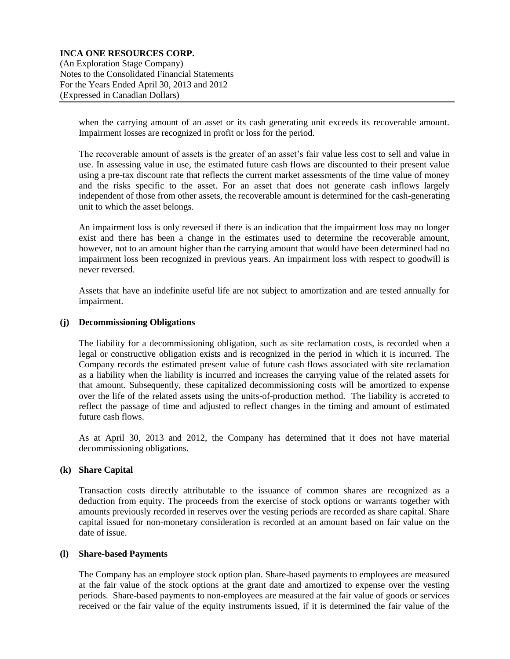(An Exploration Stage Company) Notes to the Consolidated Financial Statements For the Years Ended April 30, 2013 and 2012 (Expressed in Canadian Dollars)

> when the carrying amount of an asset or its cash generating unit exceeds its recoverable amount. Impairment losses are recognized in profit or loss for the period.

> The recoverable amount of assets is the greater of an asset's fair value less cost to sell and value in use. In assessing value in use, the estimated future cash flows are discounted to their present value using a pre-tax discount rate that reflects the current market assessments of the time value of money and the risks specific to the asset. For an asset that does not generate cash inflows largely independent of those from other assets, the recoverable amount is determined for the cash-generating unit to which the asset belongs.

> An impairment loss is only reversed if there is an indication that the impairment loss may no longer exist and there has been a change in the estimates used to determine the recoverable amount, however, not to an amount higher than the carrying amount that would have been determined had no impairment loss been recognized in previous years. An impairment loss with respect to goodwill is never reversed.

> Assets that have an indefinite useful life are not subject to amortization and are tested annually for impairment.

### **(j) Decommissioning Obligations**

The liability for a decommissioning obligation, such as site reclamation costs, is recorded when a legal or constructive obligation exists and is recognized in the period in which it is incurred. The Company records the estimated present value of future cash flows associated with site reclamation as a liability when the liability is incurred and increases the carrying value of the related assets for that amount. Subsequently, these capitalized decommissioning costs will be amortized to expense over the life of the related assets using the units-of-production method. The liability is accreted to reflect the passage of time and adjusted to reflect changes in the timing and amount of estimated future cash flows.

As at April 30, 2013 and 2012, the Company has determined that it does not have material decommissioning obligations.

# **(k) Share Capital**

Transaction costs directly attributable to the issuance of common shares are recognized as a deduction from equity. The proceeds from the exercise of stock options or warrants together with amounts previously recorded in reserves over the vesting periods are recorded as share capital. Share capital issued for non-monetary consideration is recorded at an amount based on fair value on the date of issue.

### **(l) Share-based Payments**

The Company has an employee stock option plan. Share-based payments to employees are measured at the fair value of the stock options at the grant date and amortized to expense over the vesting periods. Share-based payments to non-employees are measured at the fair value of goods or services received or the fair value of the equity instruments issued, if it is determined the fair value of the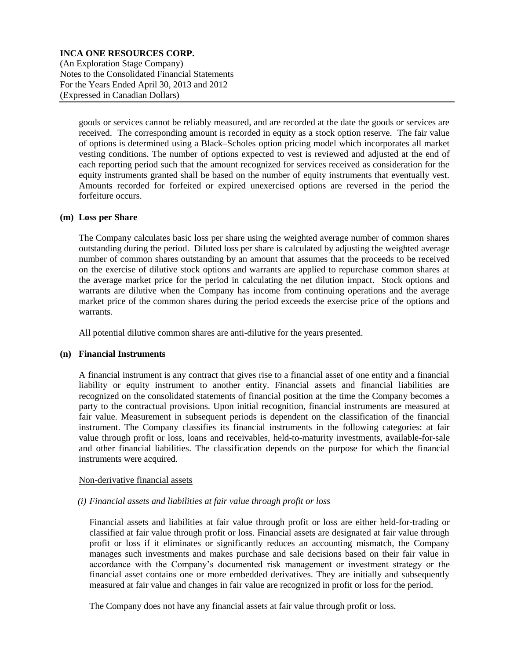(An Exploration Stage Company) Notes to the Consolidated Financial Statements For the Years Ended April 30, 2013 and 2012 (Expressed in Canadian Dollars)

> goods or services cannot be reliably measured, and are recorded at the date the goods or services are received. The corresponding amount is recorded in equity as a stock option reserve. The fair value of options is determined using a Black–Scholes option pricing model which incorporates all market vesting conditions. The number of options expected to vest is reviewed and adjusted at the end of each reporting period such that the amount recognized for services received as consideration for the equity instruments granted shall be based on the number of equity instruments that eventually vest. Amounts recorded for forfeited or expired unexercised options are reversed in the period the forfeiture occurs.

### **(m) Loss per Share**

The Company calculates basic loss per share using the weighted average number of common shares outstanding during the period. Diluted loss per share is calculated by adjusting the weighted average number of common shares outstanding by an amount that assumes that the proceeds to be received on the exercise of dilutive stock options and warrants are applied to repurchase common shares at the average market price for the period in calculating the net dilution impact. Stock options and warrants are dilutive when the Company has income from continuing operations and the average market price of the common shares during the period exceeds the exercise price of the options and warrants.

All potential dilutive common shares are anti-dilutive for the years presented.

### **(n) Financial Instruments**

A financial instrument is any contract that gives rise to a financial asset of one entity and a financial liability or equity instrument to another entity. Financial assets and financial liabilities are recognized on the consolidated statements of financial position at the time the Company becomes a party to the contractual provisions. Upon initial recognition, financial instruments are measured at fair value. Measurement in subsequent periods is dependent on the classification of the financial instrument. The Company classifies its financial instruments in the following categories: at fair value through profit or loss, loans and receivables, held-to-maturity investments, available-for-sale and other financial liabilities. The classification depends on the purpose for which the financial instruments were acquired.

### Non-derivative financial assets

# *(i) Financial assets and liabilities at fair value through profit or loss*

Financial assets and liabilities at fair value through profit or loss are either held-for-trading or classified at fair value through profit or loss. Financial assets are designated at fair value through profit or loss if it eliminates or significantly reduces an accounting mismatch, the Company manages such investments and makes purchase and sale decisions based on their fair value in accordance with the Company's documented risk management or investment strategy or the financial asset contains one or more embedded derivatives. They are initially and subsequently measured at fair value and changes in fair value are recognized in profit or loss for the period.

The Company does not have any financial assets at fair value through profit or loss.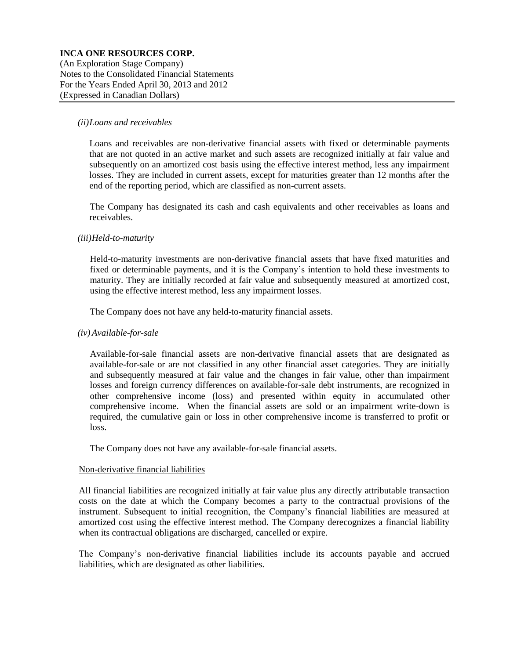(An Exploration Stage Company) Notes to the Consolidated Financial Statements For the Years Ended April 30, 2013 and 2012 (Expressed in Canadian Dollars)

### *(ii)Loans and receivables*

Loans and receivables are non-derivative financial assets with fixed or determinable payments that are not quoted in an active market and such assets are recognized initially at fair value and subsequently on an amortized cost basis using the effective interest method, less any impairment losses. They are included in current assets, except for maturities greater than 12 months after the end of the reporting period, which are classified as non-current assets.

The Company has designated its cash and cash equivalents and other receivables as loans and receivables.

# *(iii)Held-to-maturity*

Held-to-maturity investments are non-derivative financial assets that have fixed maturities and fixed or determinable payments, and it is the Company's intention to hold these investments to maturity. They are initially recorded at fair value and subsequently measured at amortized cost, using the effective interest method, less any impairment losses.

The Company does not have any held-to-maturity financial assets.

### *(iv) Available-for-sale*

Available-for-sale financial assets are non-derivative financial assets that are designated as available-for-sale or are not classified in any other financial asset categories. They are initially and subsequently measured at fair value and the changes in fair value, other than impairment losses and foreign currency differences on available-for-sale debt instruments, are recognized in other comprehensive income (loss) and presented within equity in accumulated other comprehensive income. When the financial assets are sold or an impairment write-down is required, the cumulative gain or loss in other comprehensive income is transferred to profit or loss.

The Company does not have any available-for-sale financial assets.

# Non-derivative financial liabilities

All financial liabilities are recognized initially at fair value plus any directly attributable transaction costs on the date at which the Company becomes a party to the contractual provisions of the instrument. Subsequent to initial recognition, the Company's financial liabilities are measured at amortized cost using the effective interest method. The Company derecognizes a financial liability when its contractual obligations are discharged, cancelled or expire.

The Company's non-derivative financial liabilities include its accounts payable and accrued liabilities, which are designated as other liabilities.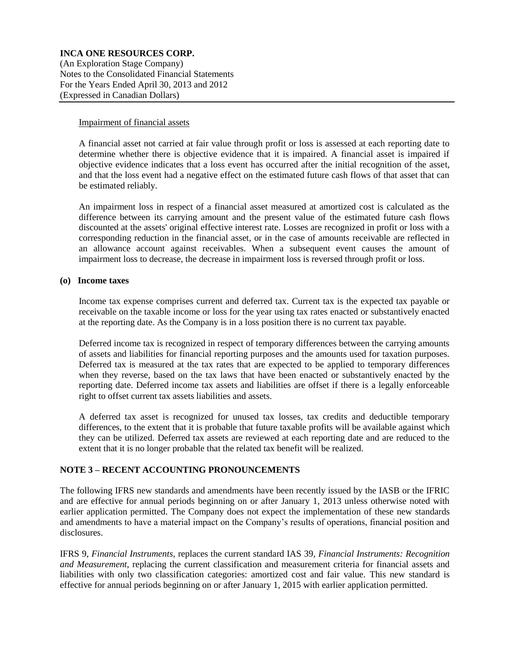(An Exploration Stage Company) Notes to the Consolidated Financial Statements For the Years Ended April 30, 2013 and 2012 (Expressed in Canadian Dollars)

### Impairment of financial assets

A financial asset not carried at fair value through profit or loss is assessed at each reporting date to determine whether there is objective evidence that it is impaired. A financial asset is impaired if objective evidence indicates that a loss event has occurred after the initial recognition of the asset, and that the loss event had a negative effect on the estimated future cash flows of that asset that can be estimated reliably.

An impairment loss in respect of a financial asset measured at amortized cost is calculated as the difference between its carrying amount and the present value of the estimated future cash flows discounted at the assets' original effective interest rate. Losses are recognized in profit or loss with a corresponding reduction in the financial asset, or in the case of amounts receivable are reflected in an allowance account against receivables. When a subsequent event causes the amount of impairment loss to decrease, the decrease in impairment loss is reversed through profit or loss.

### **(o) Income taxes**

Income tax expense comprises current and deferred tax. Current tax is the expected tax payable or receivable on the taxable income or loss for the year using tax rates enacted or substantively enacted at the reporting date. As the Company is in a loss position there is no current tax payable.

Deferred income tax is recognized in respect of temporary differences between the carrying amounts of assets and liabilities for financial reporting purposes and the amounts used for taxation purposes. Deferred tax is measured at the tax rates that are expected to be applied to temporary differences when they reverse, based on the tax laws that have been enacted or substantively enacted by the reporting date. Deferred income tax assets and liabilities are offset if there is a legally enforceable right to offset current tax assets liabilities and assets.

A deferred tax asset is recognized for unused tax losses, tax credits and deductible temporary differences, to the extent that it is probable that future taxable profits will be available against which they can be utilized. Deferred tax assets are reviewed at each reporting date and are reduced to the extent that it is no longer probable that the related tax benefit will be realized.

# **NOTE 3 – RECENT ACCOUNTING PRONOUNCEMENTS**

The following IFRS new standards and amendments have been recently issued by the IASB or the IFRIC and are effective for annual periods beginning on or after January 1, 2013 unless otherwise noted with earlier application permitted. The Company does not expect the implementation of these new standards and amendments to have a material impact on the Company's results of operations, financial position and disclosures.

IFRS 9, *Financial Instruments,* replaces the current standard IAS 39, *Financial Instruments: Recognition and Measurement*, replacing the current classification and measurement criteria for financial assets and liabilities with only two classification categories: amortized cost and fair value. This new standard is effective for annual periods beginning on or after January 1, 2015 with earlier application permitted.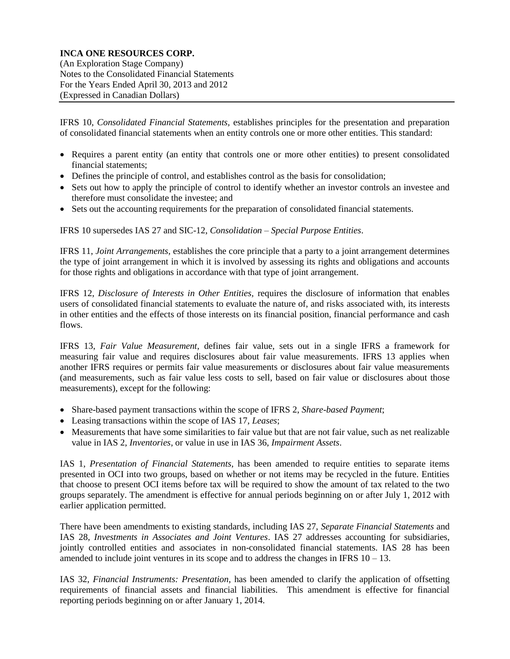(An Exploration Stage Company) Notes to the Consolidated Financial Statements For the Years Ended April 30, 2013 and 2012 (Expressed in Canadian Dollars)

IFRS 10, *Consolidated Financial Statements,* establishes principles for the presentation and preparation of consolidated financial statements when an entity controls one or more other entities. This standard:

- Requires a parent entity (an entity that controls one or more other entities) to present consolidated financial statements;
- Defines the principle of control, and establishes control as the basis for consolidation;
- Sets out how to apply the principle of control to identify whether an investor controls an investee and therefore must consolidate the investee; and
- Sets out the accounting requirements for the preparation of consolidated financial statements.

IFRS 10 supersedes IAS 27 and SIC-12, *Consolidation – Special Purpose Entities*.

IFRS 11, *Joint Arrangements,* establishes the core principle that a party to a joint arrangement determines the type of joint arrangement in which it is involved by assessing its rights and obligations and accounts for those rights and obligations in accordance with that type of joint arrangement.

IFRS 12, *Disclosure of Interests in Other Entities,* requires the disclosure of information that enables users of consolidated financial statements to evaluate the nature of, and risks associated with, its interests in other entities and the effects of those interests on its financial position, financial performance and cash flows.

IFRS 13, *Fair Value Measurement,* defines fair value, sets out in a single IFRS a framework for measuring fair value and requires disclosures about fair value measurements. IFRS 13 applies when another IFRS requires or permits fair value measurements or disclosures about fair value measurements (and measurements, such as fair value less costs to sell, based on fair value or disclosures about those measurements), except for the following:

- Share-based payment transactions within the scope of IFRS 2, *Share-based Payment*;
- Leasing transactions within the scope of IAS 17, *Leases*;
- Measurements that have some similarities to fair value but that are not fair value, such as net realizable value in IAS 2, *Inventories*, or value in use in IAS 36, *Impairment Assets*.

IAS 1, *Presentation of Financial Statements*, has been amended to require entities to separate items presented in OCI into two groups, based on whether or not items may be recycled in the future. Entities that choose to present OCI items before tax will be required to show the amount of tax related to the two groups separately. The amendment is effective for annual periods beginning on or after July 1, 2012 with earlier application permitted.

There have been amendments to existing standards, including IAS 27, *Separate Financial Statements* and IAS 28, *Investments in Associates and Joint Ventures*. IAS 27 addresses accounting for subsidiaries, jointly controlled entities and associates in non-consolidated financial statements. IAS 28 has been amended to include joint ventures in its scope and to address the changes in IFRS  $10 - 13$ .

IAS 32, *Financial Instruments: Presentation*, has been amended to clarify the application of offsetting requirements of financial assets and financial liabilities. This amendment is effective for financial reporting periods beginning on or after January 1, 2014.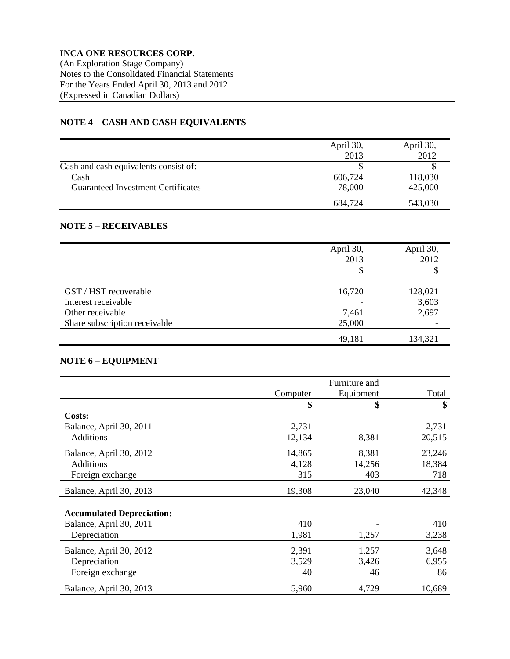(An Exploration Stage Company) Notes to the Consolidated Financial Statements For the Years Ended April 30, 2013 and 2012 (Expressed in Canadian Dollars)

# **NOTE 4 – CASH AND CASH EQUIVALENTS**

|                                           | April 30, | April 30, |
|-------------------------------------------|-----------|-----------|
|                                           | 2013      | 2012      |
| Cash and cash equivalents consist of:     |           |           |
| Cash                                      | 606,724   | 118,030   |
| <b>Guaranteed Investment Certificates</b> | 78,000    | 425,000   |
|                                           | 684,724   | 543,030   |

# **NOTE 5 – RECEIVABLES**

|                               | April 30,<br>2013 | April 30,<br>2012 |
|-------------------------------|-------------------|-------------------|
|                               | \$                |                   |
| GST / HST recoverable         | 16,720            | 128,021           |
| Interest receivable           |                   | 3,603             |
| Other receivable              | 7,461             | 2,697             |
| Share subscription receivable | 25,000            |                   |
|                               | 49,181            | 134,321           |

# **NOTE 6 – EQUIPMENT**

|                                  |          | Furniture and |        |
|----------------------------------|----------|---------------|--------|
|                                  | Computer | Equipment     | Total  |
|                                  | \$       | \$            | \$     |
| Costs:                           |          |               |        |
| Balance, April 30, 2011          | 2,731    |               | 2,731  |
| <b>Additions</b>                 | 12,134   | 8,381         | 20,515 |
| Balance, April 30, 2012          | 14,865   | 8,381         | 23,246 |
| <b>Additions</b>                 | 4,128    | 14,256        | 18,384 |
| Foreign exchange                 | 315      | 403           | 718    |
| Balance, April 30, 2013          | 19,308   | 23,040        | 42,348 |
| <b>Accumulated Depreciation:</b> |          |               |        |
| Balance, April 30, 2011          | 410      |               | 410    |
| Depreciation                     | 1,981    | 1,257         | 3,238  |
| Balance, April 30, 2012          | 2,391    | 1,257         | 3,648  |
| Depreciation                     | 3,529    | 3,426         | 6,955  |
| Foreign exchange                 | 40       | 46            | 86     |
| Balance, April 30, 2013          | 5,960    | 4,729         | 10,689 |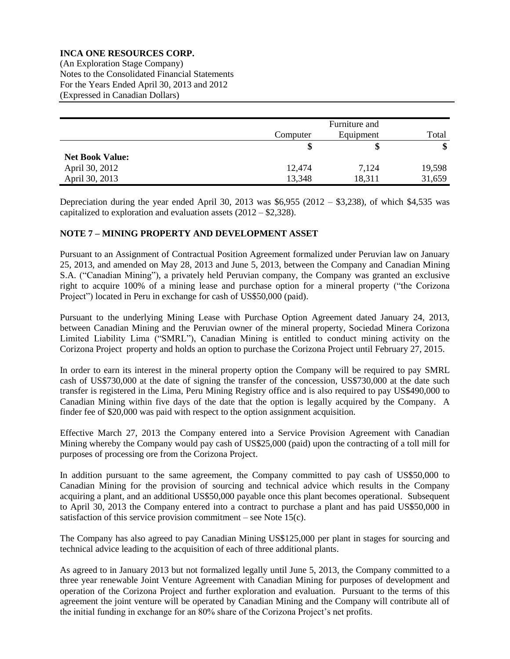(An Exploration Stage Company) Notes to the Consolidated Financial Statements For the Years Ended April 30, 2013 and 2012 (Expressed in Canadian Dollars)

|                        |          | Furniture and |        |  |
|------------------------|----------|---------------|--------|--|
|                        | Computer | Equipment     | Total  |  |
|                        |          | \$            | ₼      |  |
| <b>Net Book Value:</b> |          |               |        |  |
| April 30, 2012         | 12,474   | 7,124         | 19,598 |  |
| April 30, 2013         | 13,348   | 18,311        | 31,659 |  |

Depreciation during the year ended April 30, 2013 was \$6,955 (2012 – \$3,238), of which \$4,535 was capitalized to exploration and evaluation assets (2012 – \$2,328).

# **NOTE 7 – MINING PROPERTY AND DEVELOPMENT ASSET**

Pursuant to an Assignment of Contractual Position Agreement formalized under Peruvian law on January 25, 2013, and amended on May 28, 2013 and June 5, 2013, between the Company and Canadian Mining S.A. ("Canadian Mining"), a privately held Peruvian company, the Company was granted an exclusive right to acquire 100% of a mining lease and purchase option for a mineral property ("the Corizona Project") located in Peru in exchange for cash of US\$50,000 (paid).

Pursuant to the underlying Mining Lease with Purchase Option Agreement dated January 24, 2013, between Canadian Mining and the Peruvian owner of the mineral property, Sociedad Minera Corizona Limited Liability Lima ("SMRL"), Canadian Mining is entitled to conduct mining activity on the Corizona Project property and holds an option to purchase the Corizona Project until February 27, 2015.

In order to earn its interest in the mineral property option the Company will be required to pay SMRL cash of US\$730,000 at the date of signing the transfer of the concession, US\$730,000 at the date such transfer is registered in the Lima, Peru Mining Registry office and is also required to pay US\$490,000 to Canadian Mining within five days of the date that the option is legally acquired by the Company. A finder fee of \$20,000 was paid with respect to the option assignment acquisition.

Effective March 27, 2013 the Company entered into a Service Provision Agreement with Canadian Mining whereby the Company would pay cash of US\$25,000 (paid) upon the contracting of a toll mill for purposes of processing ore from the Corizona Project.

In addition pursuant to the same agreement, the Company committed to pay cash of US\$50,000 to Canadian Mining for the provision of sourcing and technical advice which results in the Company acquiring a plant, and an additional US\$50,000 payable once this plant becomes operational. Subsequent to April 30, 2013 the Company entered into a contract to purchase a plant and has paid US\$50,000 in satisfaction of this service provision commitment – see Note 15(c).

The Company has also agreed to pay Canadian Mining US\$125,000 per plant in stages for sourcing and technical advice leading to the acquisition of each of three additional plants.

As agreed to in January 2013 but not formalized legally until June 5, 2013, the Company committed to a three year renewable Joint Venture Agreement with Canadian Mining for purposes of development and operation of the Corizona Project and further exploration and evaluation. Pursuant to the terms of this agreement the joint venture will be operated by Canadian Mining and the Company will contribute all of the initial funding in exchange for an 80% share of the Corizona Project's net profits.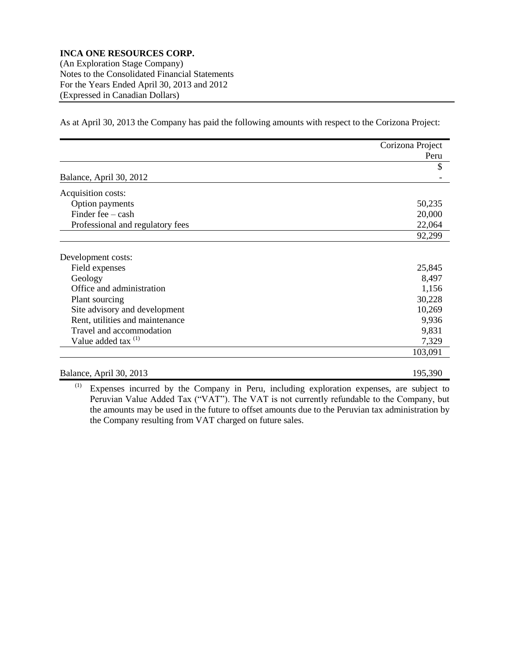(An Exploration Stage Company) Notes to the Consolidated Financial Statements For the Years Ended April 30, 2013 and 2012 (Expressed in Canadian Dollars)

As at April 30, 2013 the Company has paid the following amounts with respect to the Corizona Project:

| Corizona Project |
|------------------|
| Peru             |
| \$               |
|                  |
|                  |
| 50,235           |
| 20,000           |
| 22,064           |
| 92,299           |
|                  |
| 25,845           |
| 8,497            |
| 1,156            |
| 30,228           |
| 10,269           |
| 9,936            |
| 9,831            |
| 7,329            |
| 103,091          |
|                  |

Balance, April 30, 2013 195,390

(1) Expenses incurred by the Company in Peru, including exploration expenses, are subject to Peruvian Value Added Tax ("VAT"). The VAT is not currently refundable to the Company, but the amounts may be used in the future to offset amounts due to the Peruvian tax administration by the Company resulting from VAT charged on future sales.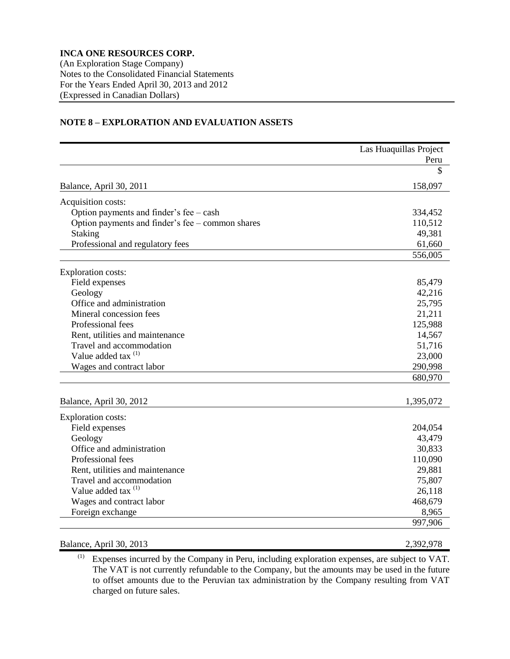(An Exploration Stage Company) Notes to the Consolidated Financial Statements For the Years Ended April 30, 2013 and 2012 (Expressed in Canadian Dollars)

# **NOTE 8 – EXPLORATION AND EVALUATION ASSETS**

|                                                  | Las Huaquillas Project<br>Peru |
|--------------------------------------------------|--------------------------------|
|                                                  | \$                             |
| Balance, April 30, 2011                          | 158,097                        |
| Acquisition costs:                               |                                |
| Option payments and finder's $fee - cash$        | 334,452                        |
| Option payments and finder's fee – common shares | 110,512                        |
| <b>Staking</b>                                   | 49,381                         |
| Professional and regulatory fees                 | 61,660                         |
|                                                  | 556,005                        |
| <b>Exploration costs:</b>                        |                                |
| Field expenses                                   | 85,479                         |
| Geology                                          | 42,216                         |
| Office and administration                        | 25,795                         |
| Mineral concession fees                          | 21,211                         |
| Professional fees                                | 125,988                        |
| Rent, utilities and maintenance                  | 14,567                         |
| Travel and accommodation                         | 51,716                         |
| Value added tax $(1)$                            | 23,000                         |
| Wages and contract labor                         | 290,998                        |
|                                                  | 680,970                        |
|                                                  |                                |
| Balance, April 30, 2012                          | 1,395,072                      |
| <b>Exploration costs:</b>                        |                                |
| Field expenses                                   | 204,054                        |
| Geology                                          | 43,479                         |
| Office and administration                        | 30,833                         |
| Professional fees                                | 110,090                        |
| Rent, utilities and maintenance                  | 29,881                         |
| Travel and accommodation                         | 75,807                         |
| Value added tax $(1)$                            | 26,118                         |
| Wages and contract labor                         | 468,679                        |
| Foreign exchange                                 | 8,965                          |
|                                                  | 997,906                        |
| Balance, April 30, 2013                          | 2,392,978                      |

(1) Expenses incurred by the Company in Peru, including exploration expenses, are subject to VAT. The VAT is not currently refundable to the Company, but the amounts may be used in the future to offset amounts due to the Peruvian tax administration by the Company resulting from VAT charged on future sales.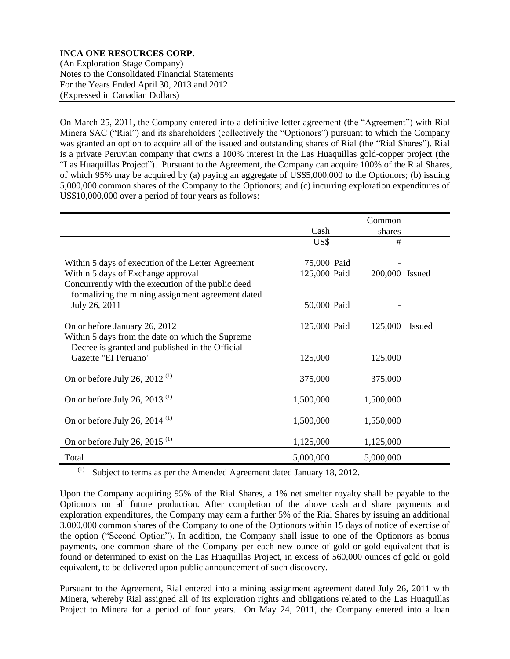(An Exploration Stage Company) Notes to the Consolidated Financial Statements For the Years Ended April 30, 2013 and 2012 (Expressed in Canadian Dollars)

On March 25, 2011, the Company entered into a definitive letter agreement (the "Agreement") with Rial Minera SAC ("Rial") and its shareholders (collectively the "Optionors") pursuant to which the Company was granted an option to acquire all of the issued and outstanding shares of Rial (the "Rial Shares"). Rial is a private Peruvian company that owns a 100% interest in the Las Huaquillas gold-copper project (the "Las Huaquillas Project"). Pursuant to the Agreement, the Company can acquire 100% of the Rial Shares, of which 95% may be acquired by (a) paying an aggregate of US\$5,000,000 to the Optionors; (b) issuing 5,000,000 common shares of the Company to the Optionors; and (c) incurring exploration expenditures of US\$10,000,000 over a period of four years as follows:

|                                                                                                                                                                                                     |                             | Common         |        |
|-----------------------------------------------------------------------------------------------------------------------------------------------------------------------------------------------------|-----------------------------|----------------|--------|
|                                                                                                                                                                                                     | Cash                        | shares         |        |
|                                                                                                                                                                                                     | US\$                        | #              |        |
| Within 5 days of execution of the Letter Agreement<br>Within 5 days of Exchange approval<br>Concurrently with the execution of the public deed<br>formalizing the mining assignment agreement dated | 75,000 Paid<br>125,000 Paid | 200,000 Issued |        |
| July 26, 2011                                                                                                                                                                                       | 50,000 Paid                 |                |        |
| On or before January 26, 2012<br>Within 5 days from the date on which the Supreme<br>Decree is granted and published in the Official                                                                | 125,000 Paid                | 125,000        | Issued |
| Gazette "EI Peruano"                                                                                                                                                                                | 125,000                     | 125,000        |        |
| On or before July 26, 2012 $^{(1)}$                                                                                                                                                                 | 375,000                     | 375,000        |        |
| On or before July 26, 2013 <sup>(1)</sup>                                                                                                                                                           | 1,500,000                   | 1,500,000      |        |
| On or before July 26, 2014 $^{(1)}$                                                                                                                                                                 | 1,500,000                   | 1,550,000      |        |
| On or before July 26, 2015 <sup>(1)</sup>                                                                                                                                                           | 1,125,000                   | 1,125,000      |        |
| Total                                                                                                                                                                                               | 5,000,000                   | 5,000,000      |        |

(1) Subject to terms as per the Amended Agreement dated January 18, 2012.

Upon the Company acquiring 95% of the Rial Shares, a 1% net smelter royalty shall be payable to the Optionors on all future production. After completion of the above cash and share payments and exploration expenditures, the Company may earn a further 5% of the Rial Shares by issuing an additional 3,000,000 common shares of the Company to one of the Optionors within 15 days of notice of exercise of the option ("Second Option"). In addition, the Company shall issue to one of the Optionors as bonus payments, one common share of the Company per each new ounce of gold or gold equivalent that is found or determined to exist on the Las Huaquillas Project, in excess of 560,000 ounces of gold or gold equivalent, to be delivered upon public announcement of such discovery.

Pursuant to the Agreement, Rial entered into a mining assignment agreement dated July 26, 2011 with Minera, whereby Rial assigned all of its exploration rights and obligations related to the Las Huaquillas Project to Minera for a period of four years. On May 24, 2011, the Company entered into a loan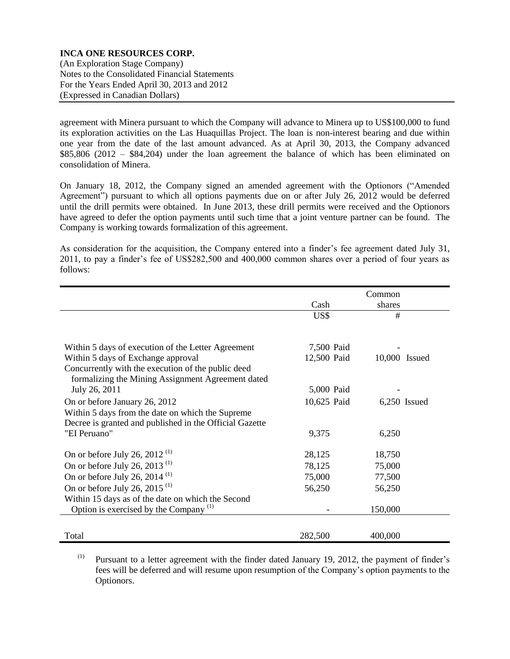(An Exploration Stage Company) Notes to the Consolidated Financial Statements For the Years Ended April 30, 2013 and 2012 (Expressed in Canadian Dollars)

agreement with Minera pursuant to which the Company will advance to Minera up to US\$100,000 to fund its exploration activities on the Las Huaquillas Project. The loan is non-interest bearing and due within one year from the date of the last amount advanced. As at April 30, 2013, the Company advanced \$85,806 (2012 – \$84,204) under the loan agreement the balance of which has been eliminated on consolidation of Minera.

On January 18, 2012, the Company signed an amended agreement with the Optionors ("Amended Agreement") pursuant to which all options payments due on or after July 26, 2012 would be deferred until the drill permits were obtained. In June 2013, these drill permits were received and the Optionors have agreed to defer the option payments until such time that a joint venture partner can be found. The Company is working towards formalization of this agreement.

As consideration for the acquisition, the Company entered into a finder's fee agreement dated July 31, 2011, to pay a finder's fee of US\$282,500 and 400,000 common shares over a period of four years as follows:

|                                                         |             | Common        |              |
|---------------------------------------------------------|-------------|---------------|--------------|
|                                                         | Cash        | shares        |              |
|                                                         | US\$        | #             |              |
|                                                         |             |               |              |
| Within 5 days of execution of the Letter Agreement      | 7,500 Paid  |               |              |
| Within 5 days of Exchange approval                      | 12,500 Paid | 10,000 Issued |              |
| Concurrently with the execution of the public deed      |             |               |              |
| formalizing the Mining Assignment Agreement dated       |             |               |              |
| July 26, 2011                                           | 5,000 Paid  |               |              |
| On or before January 26, 2012                           | 10,625 Paid |               | 6,250 Issued |
| Within 5 days from the date on which the Supreme        |             |               |              |
| Decree is granted and published in the Official Gazette |             |               |              |
| "EI Peruano"                                            | 9,375       | 6,250         |              |
| On or before July 26, 2012 $^{(1)}$                     | 28,125      | 18,750        |              |
| On or before July 26, 2013 <sup>(1)</sup>               | 78,125      | 75,000        |              |
| On or before July 26, 2014 $^{(1)}$                     | 75,000      | 77,500        |              |
| On or before July 26, 2015 <sup>(1)</sup>               |             |               |              |
| Within 15 days as of the date on which the Second       | 56,250      | 56,250        |              |
| Option is exercised by the Company <sup>(1)</sup>       |             | 150,000       |              |
|                                                         |             |               |              |
|                                                         |             |               |              |
| Total                                                   | 282,500     | 400,000       |              |

 $(1)$  Pursuant to a letter agreement with the finder dated January 19, 2012, the payment of finder's fees will be deferred and will resume upon resumption of the Company's option payments to the Optionors.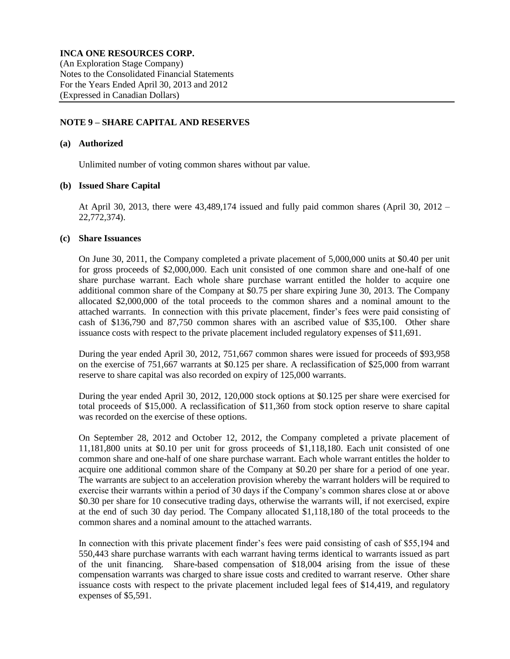(An Exploration Stage Company) Notes to the Consolidated Financial Statements For the Years Ended April 30, 2013 and 2012 (Expressed in Canadian Dollars)

# **NOTE 9 – SHARE CAPITAL AND RESERVES**

### **(a) Authorized**

Unlimited number of voting common shares without par value.

# **(b) Issued Share Capital**

At April 30, 2013, there were 43,489,174 issued and fully paid common shares (April 30, 2012 – 22,772,374).

### **(c) Share Issuances**

On June 30, 2011, the Company completed a private placement of 5,000,000 units at \$0.40 per unit for gross proceeds of \$2,000,000. Each unit consisted of one common share and one-half of one share purchase warrant. Each whole share purchase warrant entitled the holder to acquire one additional common share of the Company at \$0.75 per share expiring June 30, 2013. The Company allocated \$2,000,000 of the total proceeds to the common shares and a nominal amount to the attached warrants. In connection with this private placement, finder's fees were paid consisting of cash of \$136,790 and 87,750 common shares with an ascribed value of \$35,100. Other share issuance costs with respect to the private placement included regulatory expenses of \$11,691.

During the year ended April 30, 2012, 751,667 common shares were issued for proceeds of \$93,958 on the exercise of 751,667 warrants at \$0.125 per share. A reclassification of \$25,000 from warrant reserve to share capital was also recorded on expiry of 125,000 warrants.

During the year ended April 30, 2012, 120,000 stock options at \$0.125 per share were exercised for total proceeds of \$15,000. A reclassification of \$11,360 from stock option reserve to share capital was recorded on the exercise of these options.

On September 28, 2012 and October 12, 2012, the Company completed a private placement of 11,181,800 units at \$0.10 per unit for gross proceeds of \$1,118,180. Each unit consisted of one common share and one-half of one share purchase warrant. Each whole warrant entitles the holder to acquire one additional common share of the Company at \$0.20 per share for a period of one year. The warrants are subject to an acceleration provision whereby the warrant holders will be required to exercise their warrants within a period of 30 days if the Company's common shares close at or above \$0.30 per share for 10 consecutive trading days, otherwise the warrants will, if not exercised, expire at the end of such 30 day period. The Company allocated \$1,118,180 of the total proceeds to the common shares and a nominal amount to the attached warrants.

In connection with this private placement finder's fees were paid consisting of cash of \$55,194 and 550,443 share purchase warrants with each warrant having terms identical to warrants issued as part of the unit financing. Share-based compensation of \$18,004 arising from the issue of these compensation warrants was charged to share issue costs and credited to warrant reserve. Other share issuance costs with respect to the private placement included legal fees of \$14,419, and regulatory expenses of \$5,591.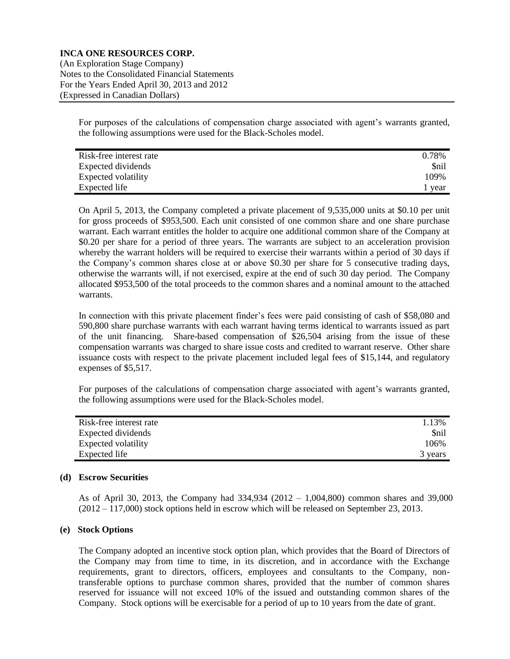(An Exploration Stage Company) Notes to the Consolidated Financial Statements For the Years Ended April 30, 2013 and 2012 (Expressed in Canadian Dollars)

> For purposes of the calculations of compensation charge associated with agent's warrants granted, the following assumptions were used for the Black-Scholes model.

| Risk-free interest rate | 0.78%  |
|-------------------------|--------|
| Expected dividends      | Snil   |
| Expected volatility     | 109%   |
| Expected life           | 1 year |

On April 5, 2013, the Company completed a private placement of 9,535,000 units at \$0.10 per unit for gross proceeds of \$953,500. Each unit consisted of one common share and one share purchase warrant. Each warrant entitles the holder to acquire one additional common share of the Company at \$0.20 per share for a period of three years. The warrants are subject to an acceleration provision whereby the warrant holders will be required to exercise their warrants within a period of 30 days if the Company's common shares close at or above \$0.30 per share for 5 consecutive trading days, otherwise the warrants will, if not exercised, expire at the end of such 30 day period. The Company allocated \$953,500 of the total proceeds to the common shares and a nominal amount to the attached warrants.

In connection with this private placement finder's fees were paid consisting of cash of \$58,080 and 590,800 share purchase warrants with each warrant having terms identical to warrants issued as part of the unit financing. Share-based compensation of \$26,504 arising from the issue of these compensation warrants was charged to share issue costs and credited to warrant reserve. Other share issuance costs with respect to the private placement included legal fees of \$15,144, and regulatory expenses of \$5,517.

For purposes of the calculations of compensation charge associated with agent's warrants granted, the following assumptions were used for the Black-Scholes model.

| Risk-free interest rate | 1.13%       |
|-------------------------|-------------|
| Expected dividends      | <i>Snil</i> |
| Expected volatility     | 106%        |
| Expected life           | 3 years     |

### **(d) Escrow Securities**

As of April 30, 2013, the Company had 334,934 (2012 – 1,004,800) common shares and 39,000 (2012 – 117,000) stock options held in escrow which will be released on September 23, 2013.

### **(e) Stock Options**

The Company adopted an incentive stock option plan, which provides that the Board of Directors of the Company may from time to time, in its discretion, and in accordance with the Exchange requirements, grant to directors, officers, employees and consultants to the Company, nontransferable options to purchase common shares, provided that the number of common shares reserved for issuance will not exceed 10% of the issued and outstanding common shares of the Company. Stock options will be exercisable for a period of up to 10 years from the date of grant.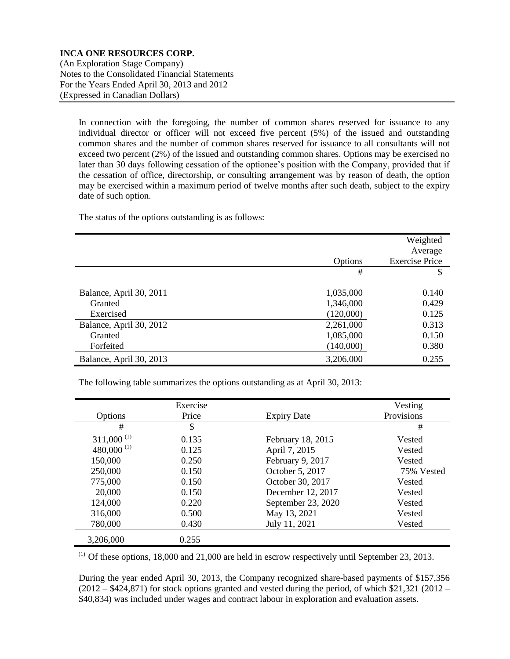(An Exploration Stage Company) Notes to the Consolidated Financial Statements For the Years Ended April 30, 2013 and 2012 (Expressed in Canadian Dollars)

> In connection with the foregoing, the number of common shares reserved for issuance to any individual director or officer will not exceed five percent (5%) of the issued and outstanding common shares and the number of common shares reserved for issuance to all consultants will not exceed two percent (2%) of the issued and outstanding common shares. Options may be exercised no later than 30 days following cessation of the optionee's position with the Company, provided that if the cessation of office, directorship, or consulting arrangement was by reason of death, the option may be exercised within a maximum period of twelve months after such death, subject to the expiry date of such option.

The status of the options outstanding is as follows:

|                         | Options   | Weighted<br>Average<br><b>Exercise Price</b> |
|-------------------------|-----------|----------------------------------------------|
|                         | #         | \$                                           |
| Balance, April 30, 2011 | 1,035,000 | 0.140                                        |
| Granted                 | 1,346,000 | 0.429                                        |
| Exercised               | (120,000) | 0.125                                        |
| Balance, April 30, 2012 | 2,261,000 | 0.313                                        |
| Granted                 | 1,085,000 | 0.150                                        |
| Forfeited               | (140,000) | 0.380                                        |
| Balance, April 30, 2013 | 3,206,000 | 0.255                                        |

The following table summarizes the options outstanding as at April 30, 2013:

|                          | Exercise |                    | Vesting    |
|--------------------------|----------|--------------------|------------|
| Options                  | Price    | <b>Expiry Date</b> | Provisions |
| #                        | \$       |                    | #          |
| $311,000$ <sup>(1)</sup> | 0.135    | February 18, 2015  | Vested     |
| 480,000 $^{(1)}$         | 0.125    | April 7, 2015      | Vested     |
| 150,000                  | 0.250    | February 9, 2017   | Vested     |
| 250,000                  | 0.150    | October 5, 2017    | 75% Vested |
| 775,000                  | 0.150    | October 30, 2017   | Vested     |
| 20,000                   | 0.150    | December 12, 2017  | Vested     |
| 124,000                  | 0.220    | September 23, 2020 | Vested     |
| 316,000                  | 0.500    | May 13, 2021       | Vested     |
| 780,000                  | 0.430    | July 11, 2021      | Vested     |
| 3,206,000                | 0.255    |                    |            |

 $(1)$  Of these options, 18,000 and 21,000 are held in escrow respectively until September 23, 2013.

During the year ended April 30, 2013, the Company recognized share-based payments of \$157,356  $(2012 - $424,871)$  for stock options granted and vested during the period, of which \$21,321 (2012 – \$40,834) was included under wages and contract labour in exploration and evaluation assets.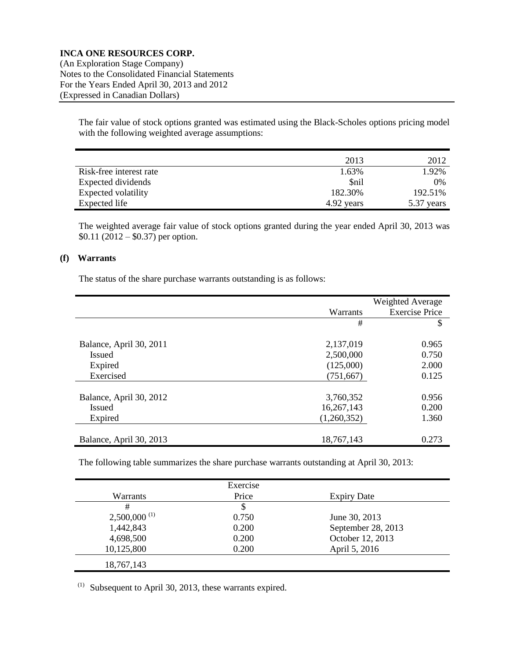(An Exploration Stage Company) Notes to the Consolidated Financial Statements For the Years Ended April 30, 2013 and 2012 (Expressed in Canadian Dollars)

> The fair value of stock options granted was estimated using the Black-Scholes options pricing model with the following weighted average assumptions:

|                         | 2013        | 2012       |
|-------------------------|-------------|------------|
| Risk-free interest rate | 1.63%       | 1.92%      |
| Expected dividends      | <b>Snil</b> | $0\%$      |
| Expected volatility     | 182.30%     | 192.51%    |
| Expected life           | 4.92 years  | 5.37 years |

The weighted average fair value of stock options granted during the year ended April 30, 2013 was \$0.11 (2012 – \$0.37) per option.

# **(f) Warrants**

The status of the share purchase warrants outstanding is as follows:

|                         |             | <b>Weighted Average</b> |
|-------------------------|-------------|-------------------------|
|                         | Warrants    | <b>Exercise Price</b>   |
|                         | #           | \$                      |
|                         |             |                         |
| Balance, April 30, 2011 | 2,137,019   | 0.965                   |
| <b>Issued</b>           | 2,500,000   | 0.750                   |
| Expired                 | (125,000)   | 2.000                   |
| Exercised               | (751, 667)  | 0.125                   |
|                         |             |                         |
| Balance, April 30, 2012 | 3,760,352   | 0.956                   |
| <b>Issued</b>           | 16,267,143  | 0.200                   |
| Expired                 | (1,260,352) | 1.360                   |
|                         |             |                         |
| Balance, April 30, 2013 | 18,767,143  | 0.273                   |

The following table summarizes the share purchase warrants outstanding at April 30, 2013:

|                            | Exercise |                    |
|----------------------------|----------|--------------------|
| Warrants                   | Price    | <b>Expiry Date</b> |
| #                          | \$       |                    |
| $2,500,000$ <sup>(1)</sup> | 0.750    | June 30, 2013      |
| 1,442,843                  | 0.200    | September 28, 2013 |
| 4,698,500                  | 0.200    | October 12, 2013   |
| 10,125,800                 | 0.200    | April 5, 2016      |
| 18,767,143                 |          |                    |

 $(1)$  Subsequent to April 30, 2013, these warrants expired.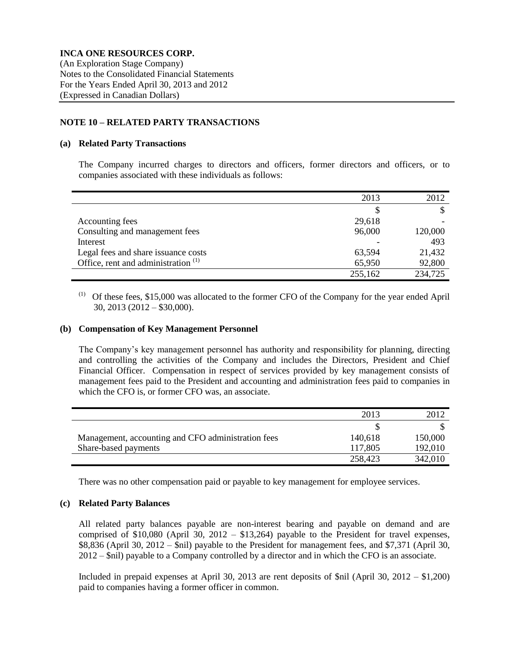(An Exploration Stage Company) Notes to the Consolidated Financial Statements For the Years Ended April 30, 2013 and 2012 (Expressed in Canadian Dollars)

### **NOTE 10 – RELATED PARTY TRANSACTIONS**

### **(a) Related Party Transactions**

The Company incurred charges to directors and officers, former directors and officers, or to companies associated with these individuals as follows:

|                                                | 2013    | 2012    |
|------------------------------------------------|---------|---------|
|                                                | S       |         |
| Accounting fees                                | 29,618  |         |
| Consulting and management fees                 | 96,000  | 120,000 |
| Interest                                       |         | 493     |
| Legal fees and share issuance costs            | 63,594  | 21,432  |
| Office, rent and administration <sup>(1)</sup> | 65,950  | 92,800  |
|                                                | 255,162 | 234,725 |

(1) Of these fees, \$15,000 was allocated to the former CFO of the Company for the year ended April  $30, 2013$  ( $2012 - $30,000$ ).

### **(b) Compensation of Key Management Personnel**

The Company's key management personnel has authority and responsibility for planning, directing and controlling the activities of the Company and includes the Directors, President and Chief Financial Officer. Compensation in respect of services provided by key management consists of management fees paid to the President and accounting and administration fees paid to companies in which the CFO is, or former CFO was, an associate.

|                                                    | 2013    | 2012    |
|----------------------------------------------------|---------|---------|
|                                                    |         |         |
| Management, accounting and CFO administration fees | 140,618 | 150,000 |
| Share-based payments                               | 117,805 | 192,010 |
|                                                    | 258,423 | 342,010 |

There was no other compensation paid or payable to key management for employee services.

### **(c) Related Party Balances**

All related party balances payable are non-interest bearing and payable on demand and are comprised of  $$10,080$  (April 30, 2012 –  $$13,264$ ) payable to the President for travel expenses, \$8,836 (April 30, 2012 – \$nil) payable to the President for management fees, and \$7,371 (April 30, 2012 – \$nil) payable to a Company controlled by a director and in which the CFO is an associate.

Included in prepaid expenses at April 30, 2013 are rent deposits of \$nil (April 30, 2012 – \$1,200) paid to companies having a former officer in common.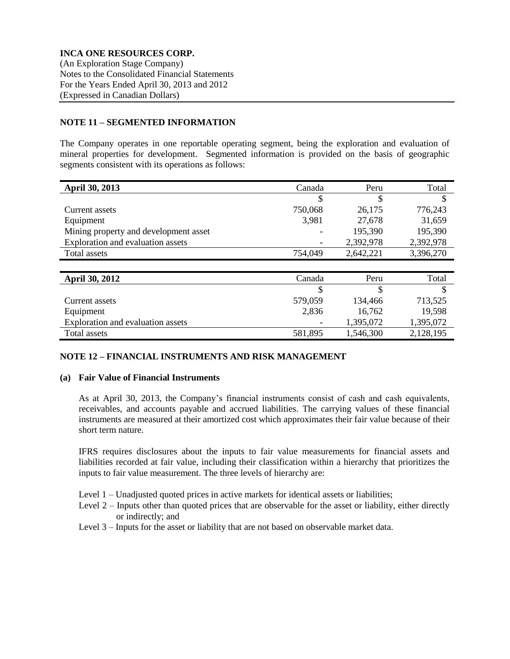(An Exploration Stage Company) Notes to the Consolidated Financial Statements For the Years Ended April 30, 2013 and 2012 (Expressed in Canadian Dollars)

# **NOTE 11 – SEGMENTED INFORMATION**

The Company operates in one reportable operating segment, being the exploration and evaluation of mineral properties for development. Segmented information is provided on the basis of geographic segments consistent with its operations as follows:

| Canada  | Peru      | Total     |
|---------|-----------|-----------|
|         |           |           |
| 750,068 | 26,175    | 776,243   |
| 3,981   | 27,678    | 31,659    |
| ٠       | 195,390   | 195,390   |
|         | 2,392,978 | 2,392,978 |
| 754,049 | 2,642,221 | 3,396,270 |
|         |           |           |
|         |           |           |

| <b>April 30, 2012</b>             | Canada                   | Peru      | Total     |
|-----------------------------------|--------------------------|-----------|-----------|
|                                   |                          |           |           |
| Current assets                    | 579,059                  | 134,466   | 713,525   |
| Equipment                         | 2,836                    | 16,762    | 19,598    |
| Exploration and evaluation assets | $\overline{\phantom{a}}$ | 1,395,072 | 1,395,072 |
| Total assets                      | 581,895                  | 1,546,300 | 2,128,195 |

# **NOTE 12 – FINANCIAL INSTRUMENTS AND RISK MANAGEMENT**

# **(a) Fair Value of Financial Instruments**

As at April 30, 2013, the Company's financial instruments consist of cash and cash equivalents, receivables, and accounts payable and accrued liabilities. The carrying values of these financial instruments are measured at their amortized cost which approximates their fair value because of their short term nature.

IFRS requires disclosures about the inputs to fair value measurements for financial assets and liabilities recorded at fair value, including their classification within a hierarchy that prioritizes the inputs to fair value measurement. The three levels of hierarchy are:

- Level 1 Unadjusted quoted prices in active markets for identical assets or liabilities;
- Level 2 Inputs other than quoted prices that are observable for the asset or liability, either directly or indirectly; and
- Level 3 Inputs for the asset or liability that are not based on observable market data.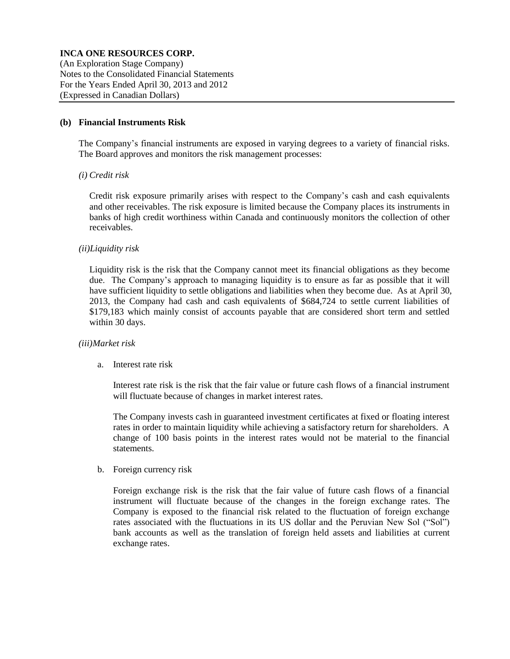(An Exploration Stage Company) Notes to the Consolidated Financial Statements For the Years Ended April 30, 2013 and 2012 (Expressed in Canadian Dollars)

### **(b) Financial Instruments Risk**

The Company's financial instruments are exposed in varying degrees to a variety of financial risks. The Board approves and monitors the risk management processes:

# *(i) Credit risk*

Credit risk exposure primarily arises with respect to the Company's cash and cash equivalents and other receivables. The risk exposure is limited because the Company places its instruments in banks of high credit worthiness within Canada and continuously monitors the collection of other receivables.

### *(ii)Liquidity risk*

Liquidity risk is the risk that the Company cannot meet its financial obligations as they become due. The Company's approach to managing liquidity is to ensure as far as possible that it will have sufficient liquidity to settle obligations and liabilities when they become due. As at April 30, 2013, the Company had cash and cash equivalents of \$684,724 to settle current liabilities of \$179,183 which mainly consist of accounts payable that are considered short term and settled within 30 days.

# *(iii)Market risk*

a. Interest rate risk

Interest rate risk is the risk that the fair value or future cash flows of a financial instrument will fluctuate because of changes in market interest rates.

The Company invests cash in guaranteed investment certificates at fixed or floating interest rates in order to maintain liquidity while achieving a satisfactory return for shareholders. A change of 100 basis points in the interest rates would not be material to the financial statements.

b. Foreign currency risk

Foreign exchange risk is the risk that the fair value of future cash flows of a financial instrument will fluctuate because of the changes in the foreign exchange rates. The Company is exposed to the financial risk related to the fluctuation of foreign exchange rates associated with the fluctuations in its US dollar and the Peruvian New Sol ("Sol") bank accounts as well as the translation of foreign held assets and liabilities at current exchange rates.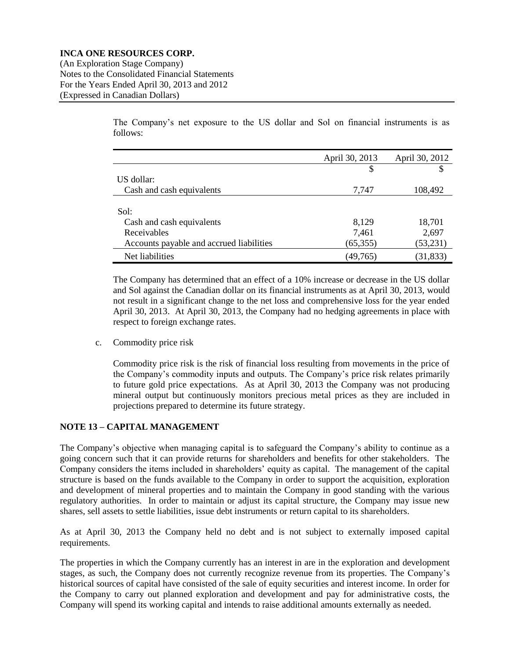(An Exploration Stage Company) Notes to the Consolidated Financial Statements For the Years Ended April 30, 2013 and 2012 (Expressed in Canadian Dollars)

> The Company's net exposure to the US dollar and Sol on financial instruments is as follows:

|                                          | April 30, 2013 | April 30, 2012 |
|------------------------------------------|----------------|----------------|
|                                          | S              | \$             |
| US dollar:                               |                |                |
| Cash and cash equivalents                | 7,747          | 108,492        |
|                                          |                |                |
| Sol:                                     |                |                |
| Cash and cash equivalents                | 8.129          | 18,701         |
| Receivables                              | 7,461          | 2,697          |
| Accounts payable and accrued liabilities | (65, 355)      | (53,231)       |
| Net liabilities                          | (49,765)       | (31, 833)      |

The Company has determined that an effect of a 10% increase or decrease in the US dollar and Sol against the Canadian dollar on its financial instruments as at April 30, 2013, would not result in a significant change to the net loss and comprehensive loss for the year ended April 30, 2013. At April 30, 2013, the Company had no hedging agreements in place with respect to foreign exchange rates.

c. Commodity price risk

Commodity price risk is the risk of financial loss resulting from movements in the price of the Company's commodity inputs and outputs. The Company's price risk relates primarily to future gold price expectations. As at April 30, 2013 the Company was not producing mineral output but continuously monitors precious metal prices as they are included in projections prepared to determine its future strategy.

# **NOTE 13 – CAPITAL MANAGEMENT**

The Company's objective when managing capital is to safeguard the Company's ability to continue as a going concern such that it can provide returns for shareholders and benefits for other stakeholders. The Company considers the items included in shareholders' equity as capital. The management of the capital structure is based on the funds available to the Company in order to support the acquisition, exploration and development of mineral properties and to maintain the Company in good standing with the various regulatory authorities. In order to maintain or adjust its capital structure, the Company may issue new shares, sell assets to settle liabilities, issue debt instruments or return capital to its shareholders.

As at April 30, 2013 the Company held no debt and is not subject to externally imposed capital requirements.

The properties in which the Company currently has an interest in are in the exploration and development stages, as such, the Company does not currently recognize revenue from its properties. The Company's historical sources of capital have consisted of the sale of equity securities and interest income. In order for the Company to carry out planned exploration and development and pay for administrative costs, the Company will spend its working capital and intends to raise additional amounts externally as needed.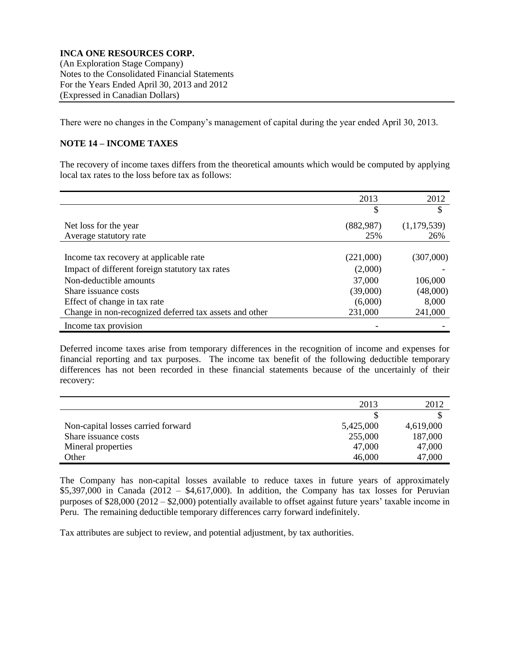(An Exploration Stage Company) Notes to the Consolidated Financial Statements For the Years Ended April 30, 2013 and 2012 (Expressed in Canadian Dollars)

There were no changes in the Company's management of capital during the year ended April 30, 2013.

# **NOTE 14 – INCOME TAXES**

The recovery of income taxes differs from the theoretical amounts which would be computed by applying local tax rates to the loss before tax as follows:

|                                                        | 2013      | 2012        |
|--------------------------------------------------------|-----------|-------------|
|                                                        | \$        | \$          |
| Net loss for the year                                  | (882,987) | (1,179,539) |
| Average statutory rate                                 | 25%       | 26%         |
|                                                        |           |             |
| Income tax recovery at applicable rate                 | (221,000) | (307,000)   |
| Impact of different foreign statutory tax rates        | (2,000)   |             |
| Non-deductible amounts                                 | 37,000    | 106,000     |
| Share issuance costs                                   | (39,000)  | (48,000)    |
| Effect of change in tax rate                           | (6,000)   | 8,000       |
| Change in non-recognized deferred tax assets and other | 231,000   | 241,000     |
| Income tax provision                                   |           |             |

Deferred income taxes arise from temporary differences in the recognition of income and expenses for financial reporting and tax purposes. The income tax benefit of the following deductible temporary differences has not been recorded in these financial statements because of the uncertainly of their recovery:

|                                    | 2013      | 2012      |
|------------------------------------|-----------|-----------|
|                                    |           |           |
| Non-capital losses carried forward | 5,425,000 | 4,619,000 |
| Share issuance costs               | 255,000   | 187,000   |
| Mineral properties                 | 47,000    | 47,000    |
| Other                              | 46,000    | 47,000    |

The Company has non-capital losses available to reduce taxes in future years of approximately \$5,397,000 in Canada (2012 – \$4,617,000). In addition, the Company has tax losses for Peruvian purposes of \$28,000 (2012 – \$2,000) potentially available to offset against future years' taxable income in Peru. The remaining deductible temporary differences carry forward indefinitely.

Tax attributes are subject to review, and potential adjustment, by tax authorities.